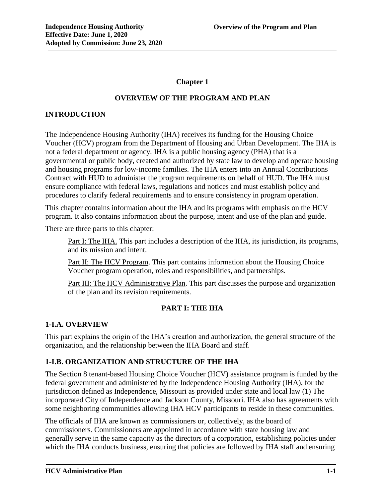## **Chapter 1**

### **OVERVIEW OF THE PROGRAM AND PLAN**

## **INTRODUCTION**

The Independence Housing Authority (IHA) receives its funding for the Housing Choice Voucher (HCV) program from the Department of Housing and Urban Development. The IHA is not a federal department or agency. IHA is a public housing agency (PHA) that is a governmental or public body, created and authorized by state law to develop and operate housing and housing programs for low-income families. The IHA enters into an Annual Contributions Contract with HUD to administer the program requirements on behalf of HUD. The IHA must ensure compliance with federal laws, regulations and notices and must establish policy and procedures to clarify federal requirements and to ensure consistency in program operation.

This chapter contains information about the IHA and its programs with emphasis on the HCV program. It also contains information about the purpose, intent and use of the plan and guide.

There are three parts to this chapter:

Part I: The IHA. This part includes a description of the IHA, its jurisdiction, its programs, and its mission and intent.

Part II: The HCV Program. This part contains information about the Housing Choice Voucher program operation, roles and responsibilities, and partnerships.

Part III: The HCV Administrative Plan. This part discusses the purpose and organization of the plan and its revision requirements.

### **PART I: THE IHA**

### **1-I.A. OVERVIEW**

This part explains the origin of the IHA's creation and authorization, the general structure of the organization, and the relationship between the IHA Board and staff.

### **1-I.B. ORGANIZATION AND STRUCTURE OF THE IHA**

The Section 8 tenant-based Housing Choice Voucher (HCV) assistance program is funded by the federal government and administered by the Independence Housing Authority (IHA), for the jurisdiction defined as Independence, Missouri as provided under state and local law (1) The incorporated City of Independence and Jackson County, Missouri. IHA also has agreements with some neighboring communities allowing IHA HCV participants to reside in these communities.

The officials of IHA are known as commissioners or, collectively, as the board of commissioners. Commissioners are appointed in accordance with state housing law and generally serve in the same capacity as the directors of a corporation, establishing policies under which the IHA conducts business, ensuring that policies are followed by IHA staff and ensuring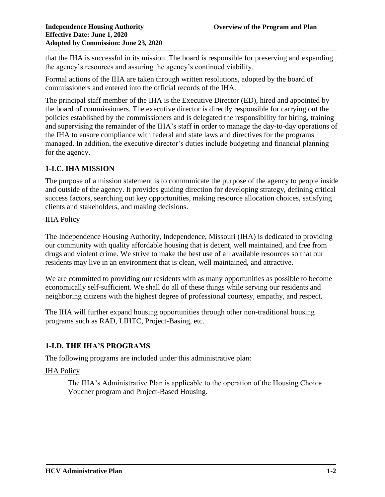that the IHA is successful in its mission. The board is responsible for preserving and expanding the agency's resources and assuring the agency's continued viability.

Formal actions of the IHA are taken through written resolutions, adopted by the board of commissioners and entered into the official records of the IHA.

The principal staff member of the IHA is the Executive Director (ED), hired and appointed by the board of commissioners. The executive director is directly responsible for carrying out the policies established by the commissioners and is delegated the responsibility for hiring, training and supervising the remainder of the IHA's staff in order to manage the day-to-day operations of the IHA to ensure compliance with federal and state laws and directives for the programs managed. In addition, the executive director's duties include budgeting and financial planning for the agency.

# **1-I.C. IHA MISSION**

The purpose of a mission statement is to communicate the purpose of the agency to people inside and outside of the agency. It provides guiding direction for developing strategy, defining critical success factors, searching out key opportunities, making resource allocation choices, satisfying clients and stakeholders, and making decisions.

#### IHA Policy

The Independence Housing Authority, Independence, Missouri (IHA) is dedicated to providing our community with quality affordable housing that is decent, well maintained, and free from drugs and violent crime. We strive to make the best use of all available resources so that our residents may live in an environment that is clean, well maintained, and attractive.

We are committed to providing our residents with as many opportunities as possible to become economically self-sufficient. We shall do all of these things while serving our residents and neighboring citizens with the highest degree of professional courtesy, empathy, and respect.

The IHA will further expand housing opportunities through other non-traditional housing programs such as RAD, LIHTC, Project-Basing, etc.

### **1-I.D. THE IHA'S PROGRAMS**

The following programs are included under this administrative plan:

### **IHA Policy**

The IHA's Administrative Plan is applicable to the operation of the Housing Choice Voucher program and Project-Based Housing.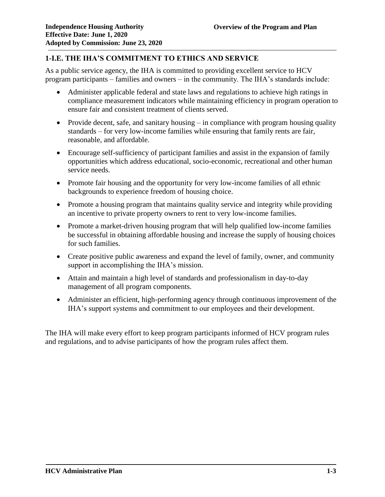# **1-I.E. THE IHA'S COMMITMENT TO ETHICS AND SERVICE**

As a public service agency, the IHA is committed to providing excellent service to HCV program participants – families and owners – in the community. The IHA's standards include:

- Administer applicable federal and state laws and regulations to achieve high ratings in compliance measurement indicators while maintaining efficiency in program operation to ensure fair and consistent treatment of clients served.
- Provide decent, safe, and sanitary housing  $-\text{ in compliance with program housing quality}$ standards – for very low-income families while ensuring that family rents are fair, reasonable, and affordable.
- Encourage self-sufficiency of participant families and assist in the expansion of family opportunities which address educational, socio-economic, recreational and other human service needs.
- Promote fair housing and the opportunity for very low-income families of all ethnic backgrounds to experience freedom of housing choice.
- Promote a housing program that maintains quality service and integrity while providing an incentive to private property owners to rent to very low-income families.
- Promote a market-driven housing program that will help qualified low-income families be successful in obtaining affordable housing and increase the supply of housing choices for such families.
- Create positive public awareness and expand the level of family, owner, and community support in accomplishing the IHA's mission.
- Attain and maintain a high level of standards and professionalism in day-to-day management of all program components.
- Administer an efficient, high-performing agency through continuous improvement of the IHA's support systems and commitment to our employees and their development.

The IHA will make every effort to keep program participants informed of HCV program rules and regulations, and to advise participants of how the program rules affect them.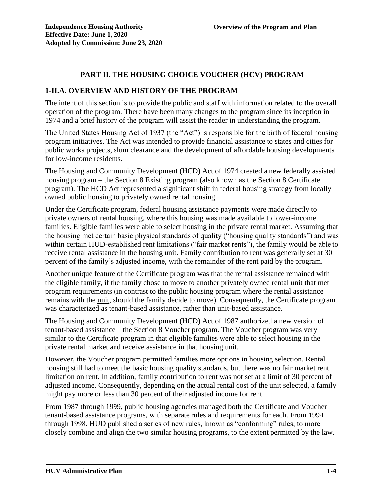## **PART II. THE HOUSING CHOICE VOUCHER (HCV) PROGRAM**

#### **1-II.A. OVERVIEW AND HISTORY OF THE PROGRAM**

The intent of this section is to provide the public and staff with information related to the overall operation of the program. There have been many changes to the program since its inception in 1974 and a brief history of the program will assist the reader in understanding the program.

The United States Housing Act of 1937 (the "Act") is responsible for the birth of federal housing program initiatives. The Act was intended to provide financial assistance to states and cities for public works projects, slum clearance and the development of affordable housing developments for low-income residents.

The Housing and Community Development (HCD) Act of 1974 created a new federally assisted housing program – the Section 8 Existing program (also known as the Section 8 Certificate program). The HCD Act represented a significant shift in federal housing strategy from locally owned public housing to privately owned rental housing.

Under the Certificate program, federal housing assistance payments were made directly to private owners of rental housing, where this housing was made available to lower-income families. Eligible families were able to select housing in the private rental market. Assuming that the housing met certain basic physical standards of quality ("housing quality standards") and was within certain HUD-established rent limitations ("fair market rents"), the family would be able to receive rental assistance in the housing unit. Family contribution to rent was generally set at 30 percent of the family's adjusted income, with the remainder of the rent paid by the program.

Another unique feature of the Certificate program was that the rental assistance remained with the eligible family, if the family chose to move to another privately owned rental unit that met program requirements (in contrast to the public housing program where the rental assistance remains with the unit, should the family decide to move). Consequently, the Certificate program was characterized as tenant-based assistance, rather than unit-based assistance.

The Housing and Community Development (HCD) Act of 1987 authorized a new version of tenant-based assistance – the Section 8 Voucher program. The Voucher program was very similar to the Certificate program in that eligible families were able to select housing in the private rental market and receive assistance in that housing unit.

However, the Voucher program permitted families more options in housing selection. Rental housing still had to meet the basic housing quality standards, but there was no fair market rent limitation on rent. In addition, family contribution to rent was not set at a limit of 30 percent of adjusted income. Consequently, depending on the actual rental cost of the unit selected, a family might pay more or less than 30 percent of their adjusted income for rent.

From 1987 through 1999, public housing agencies managed both the Certificate and Voucher tenant-based assistance programs, with separate rules and requirements for each. From 1994 through 1998, HUD published a series of new rules, known as "conforming" rules, to more closely combine and align the two similar housing programs, to the extent permitted by the law.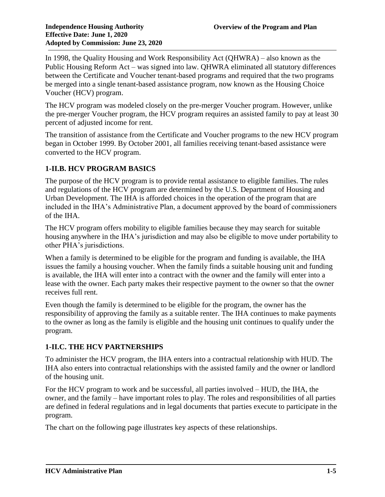In 1998, the Quality Housing and Work Responsibility Act (QHWRA) – also known as the Public Housing Reform Act – was signed into law. QHWRA eliminated all statutory differences between the Certificate and Voucher tenant-based programs and required that the two programs be merged into a single tenant-based assistance program, now known as the Housing Choice Voucher (HCV) program.

The HCV program was modeled closely on the pre-merger Voucher program. However, unlike the pre-merger Voucher program, the HCV program requires an assisted family to pay at least 30 percent of adjusted income for rent.

The transition of assistance from the Certificate and Voucher programs to the new HCV program began in October 1999. By October 2001, all families receiving tenant-based assistance were converted to the HCV program.

# **1-II.B. HCV PROGRAM BASICS**

The purpose of the HCV program is to provide rental assistance to eligible families. The rules and regulations of the HCV program are determined by the U.S. Department of Housing and Urban Development. The IHA is afforded choices in the operation of the program that are included in the IHA's Administrative Plan, a document approved by the board of commissioners of the IHA.

The HCV program offers mobility to eligible families because they may search for suitable housing anywhere in the IHA's jurisdiction and may also be eligible to move under portability to other PHA's jurisdictions.

When a family is determined to be eligible for the program and funding is available, the IHA issues the family a housing voucher. When the family finds a suitable housing unit and funding is available, the IHA will enter into a contract with the owner and the family will enter into a lease with the owner. Each party makes their respective payment to the owner so that the owner receives full rent.

Even though the family is determined to be eligible for the program, the owner has the responsibility of approving the family as a suitable renter. The IHA continues to make payments to the owner as long as the family is eligible and the housing unit continues to qualify under the program.

### **1-II.C. THE HCV PARTNERSHIPS**

To administer the HCV program, the IHA enters into a contractual relationship with HUD. The IHA also enters into contractual relationships with the assisted family and the owner or landlord of the housing unit.

For the HCV program to work and be successful, all parties involved – HUD, the IHA, the owner, and the family – have important roles to play. The roles and responsibilities of all parties are defined in federal regulations and in legal documents that parties execute to participate in the program.

The chart on the following page illustrates key aspects of these relationships.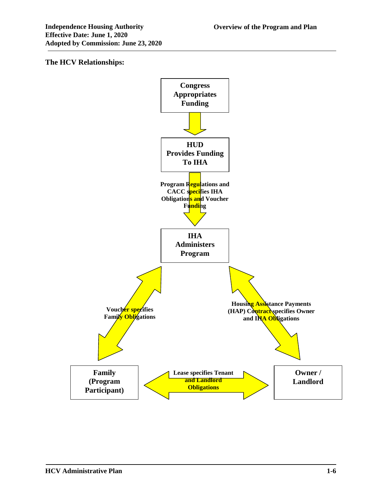### **The HCV Relationships:**

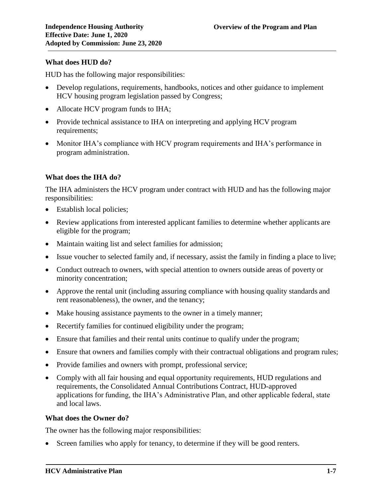#### **What does HUD do?**

HUD has the following major responsibilities:

- Develop regulations, requirements, handbooks, notices and other guidance to implement HCV housing program legislation passed by Congress;
- Allocate HCV program funds to IHA;
- Provide technical assistance to IHA on interpreting and applying HCV program requirements;
- Monitor IHA's compliance with HCV program requirements and IHA's performance in program administration.

#### **What does the IHA do?**

The IHA administers the HCV program under contract with HUD and has the following major responsibilities:

- Establish local policies;
- Review applications from interested applicant families to determine whether applicants are eligible for the program;
- Maintain waiting list and select families for admission;
- Issue voucher to selected family and, if necessary, assist the family in finding a place to live;
- Conduct outreach to owners, with special attention to owners outside areas of poverty or minority concentration;
- Approve the rental unit (including assuring compliance with housing quality standards and rent reasonableness), the owner, and the tenancy;
- Make housing assistance payments to the owner in a timely manner;
- Recertify families for continued eligibility under the program;
- Ensure that families and their rental units continue to qualify under the program;
- Ensure that owners and families comply with their contractual obligations and program rules;
- Provide families and owners with prompt, professional service;
- Comply with all fair housing and equal opportunity requirements, HUD regulations and requirements, the Consolidated Annual Contributions Contract, HUD-approved applications for funding, the IHA's Administrative Plan, and other applicable federal, state and local laws.

#### **What does the Owner do?**

The owner has the following major responsibilities:

Screen families who apply for tenancy, to determine if they will be good renters.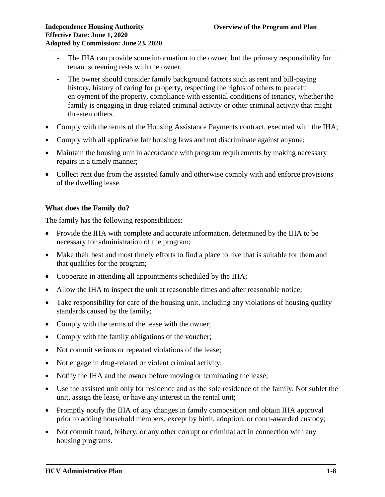- The IHA can provide some information to the owner, but the primary responsibility for tenant screening rests with the owner.
- The owner should consider family background factors such as rent and bill-paying history, history of caring for property, respecting the rights of others to peaceful enjoyment of the property, compliance with essential conditions of tenancy, whether the family is engaging in drug-related criminal activity or other criminal activity that might threaten others.
- Comply with the terms of the Housing Assistance Payments contract, executed with the IHA;
- Comply with all applicable fair housing laws and not discriminate against anyone;
- Maintain the housing unit in accordance with program requirements by making necessary repairs in a timely manner;
- Collect rent due from the assisted family and otherwise comply with and enforce provisions of the dwelling lease.

#### **What does the Family do?**

The family has the following responsibilities:

- Provide the IHA with complete and accurate information, determined by the IHA to be necessary for administration of the program;
- Make their best and most timely efforts to find a place to live that is suitable for them and that qualifies for the program;
- Cooperate in attending all appointments scheduled by the IHA;
- Allow the IHA to inspect the unit at reasonable times and after reasonable notice;
- Take responsibility for care of the housing unit, including any violations of housing quality standards caused by the family;
- Comply with the terms of the lease with the owner;
- Comply with the family obligations of the voucher;
- Not commit serious or repeated violations of the lease;
- Not engage in drug-related or violent criminal activity;
- Notify the IHA and the owner before moving or terminating the lease;
- Use the assisted unit only for residence and as the sole residence of the family. Not sublet the unit, assign the lease, or have any interest in the rental unit;
- Promptly notify the IHA of any changes in family composition and obtain IHA approval prior to adding household members, except by birth, adoption, or court-awarded custody;
- Not commit fraud, bribery, or any other corrupt or criminal act in connection with any housing programs.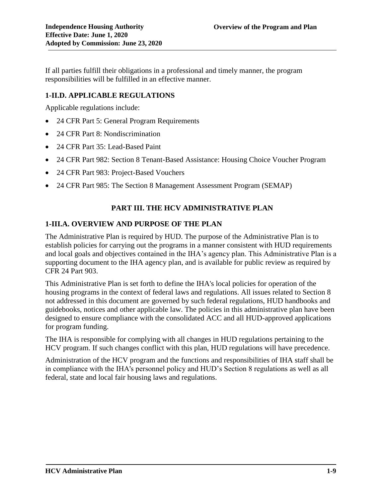If all parties fulfill their obligations in a professional and timely manner, the program responsibilities will be fulfilled in an effective manner.

### **1-II.D. APPLICABLE REGULATIONS**

Applicable regulations include:

- 24 CFR Part 5: General Program Requirements
- 24 CFR Part 8: Nondiscrimination
- 24 CFR Part 35: Lead-Based Paint
- 24 CFR Part 982: Section 8 Tenant-Based Assistance: Housing Choice Voucher Program
- 24 CFR Part 983: Project-Based Vouchers
- 24 CFR Part 985: The Section 8 Management Assessment Program (SEMAP)

## **PART III. THE HCV ADMINISTRATIVE PLAN**

#### **1-III.A. OVERVIEW AND PURPOSE OF THE PLAN**

The Administrative Plan is required by HUD. The purpose of the Administrative Plan is to establish policies for carrying out the programs in a manner consistent with HUD requirements and local goals and objectives contained in the IHA's agency plan. This Administrative Plan is a supporting document to the IHA agency plan, and is available for public review as required by CFR 24 Part 903.

This Administrative Plan is set forth to define the IHA's local policies for operation of the housing programs in the context of federal laws and regulations. All issues related to Section 8 not addressed in this document are governed by such federal regulations, HUD handbooks and guidebooks, notices and other applicable law. The policies in this administrative plan have been designed to ensure compliance with the consolidated ACC and all HUD-approved applications for program funding.

The IHA is responsible for complying with all changes in HUD regulations pertaining to the HCV program. If such changes conflict with this plan, HUD regulations will have precedence.

Administration of the HCV program and the functions and responsibilities of IHA staff shall be in compliance with the IHA's personnel policy and HUD's Section 8 regulations as well as all federal, state and local fair housing laws and regulations.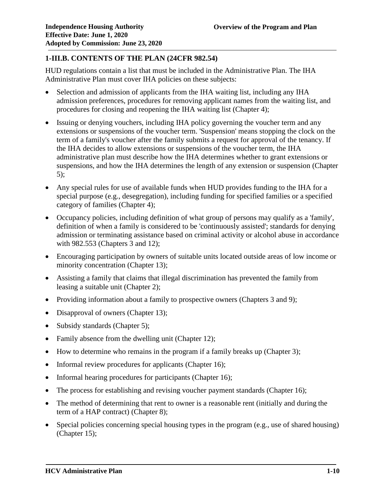# **1-III.B. CONTENTS OF THE PLAN (24CFR 982.54)**

HUD regulations contain a list that must be included in the Administrative Plan. The IHA Administrative Plan must cover IHA policies on these subjects:

- Selection and admission of applicants from the IHA waiting list, including any IHA admission preferences, procedures for removing applicant names from the waiting list, and procedures for closing and reopening the IHA waiting list (Chapter 4);
- Issuing or denying vouchers, including IHA policy governing the voucher term and any extensions or suspensions of the voucher term. 'Suspension' means stopping the clock on the term of a family's voucher after the family submits a request for approval of the tenancy. If the IHA decides to allow extensions or suspensions of the voucher term, the IHA administrative plan must describe how the IHA determines whether to grant extensions or suspensions, and how the IHA determines the length of any extension or suspension (Chapter 5);
- Any special rules for use of available funds when HUD provides funding to the IHA for a special purpose (e.g., desegregation), including funding for specified families or a specified category of families (Chapter 4);
- Occupancy policies, including definition of what group of persons may qualify as a 'family', definition of when a family is considered to be 'continuously assisted'; standards for denying admission or terminating assistance based on criminal activity or alcohol abuse in accordance with 982.553 (Chapters 3 and 12);
- Encouraging participation by owners of suitable units located outside areas of low income or minority concentration (Chapter 13);
- Assisting a family that claims that illegal discrimination has prevented the family from leasing a suitable unit (Chapter 2);
- Providing information about a family to prospective owners (Chapters 3 and 9);
- Disapproval of owners (Chapter 13);
- Subsidy standards (Chapter 5);
- Family absence from the dwelling unit (Chapter 12);
- How to determine who remains in the program if a family breaks up (Chapter 3);
- Informal review procedures for applicants (Chapter 16);
- Informal hearing procedures for participants (Chapter 16);
- The process for establishing and revising voucher payment standards (Chapter 16);
- The method of determining that rent to owner is a reasonable rent (initially and during the term of a HAP contract) (Chapter 8);
- Special policies concerning special housing types in the program (e.g., use of shared housing) (Chapter 15);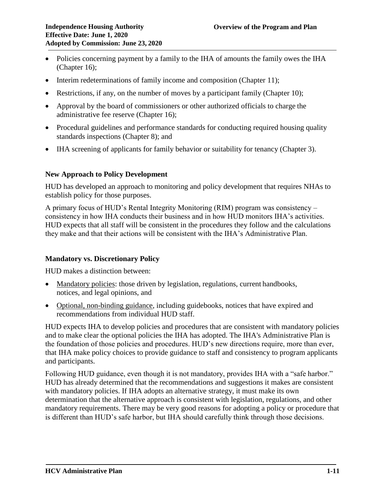- Policies concerning payment by a family to the IHA of amounts the family owes the IHA (Chapter 16);
- Interim redeterminations of family income and composition (Chapter 11);
- Restrictions, if any, on the number of moves by a participant family (Chapter 10);
- Approval by the board of commissioners or other authorized officials to charge the administrative fee reserve (Chapter 16);
- Procedural guidelines and performance standards for conducting required housing quality standards inspections (Chapter 8); and
- IHA screening of applicants for family behavior or suitability for tenancy (Chapter 3).

#### **New Approach to Policy Development**

HUD has developed an approach to monitoring and policy development that requires NHAs to establish policy for those purposes.

A primary focus of HUD's Rental Integrity Monitoring (RIM) program was consistency – consistency in how IHA conducts their business and in how HUD monitors IHA's activities. HUD expects that all staff will be consistent in the procedures they follow and the calculations they make and that their actions will be consistent with the IHA's Administrative Plan.

### **Mandatory vs. Discretionary Policy**

HUD makes a distinction between:

- Mandatory policies: those driven by legislation, regulations, current handbooks, notices, and legal opinions, and
- Optional, non-binding guidance, including guidebooks, notices that have expired and recommendations from individual HUD staff.

HUD expects IHA to develop policies and procedures that are consistent with mandatory policies and to make clear the optional policies the IHA has adopted. The IHA's Administrative Plan is the foundation of those policies and procedures. HUD's new directions require, more than ever, that IHA make policy choices to provide guidance to staff and consistency to program applicants and participants.

Following HUD guidance, even though it is not mandatory, provides IHA with a "safe harbor." HUD has already determined that the recommendations and suggestions it makes are consistent with mandatory policies. If IHA adopts an alternative strategy, it must make its own determination that the alternative approach is consistent with legislation, regulations, and other mandatory requirements. There may be very good reasons for adopting a policy or procedure that is different than HUD's safe harbor, but IHA should carefully think through those decisions.